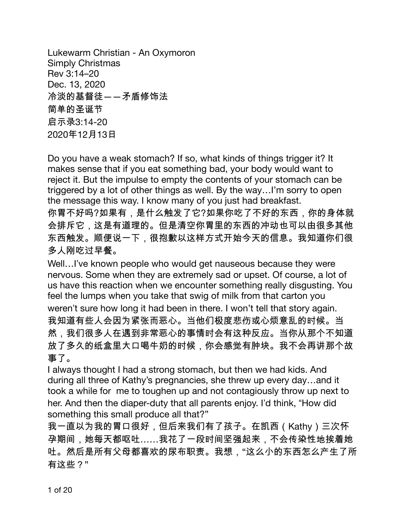Lukewarm Christian - An Oxymoron **Simply Christmas** Rev 3:14-20 Dec. 13, 2020 冷淡的基督徒——矛盾修饰法 简单的圣诞节 启示录3:14-20 2020年12月13日

Do you have a weak stomach? If so, what kinds of things trigger it? It makes sense that if you eat something bad, your body would want to reject it. But the impulse to empty the contents of your stomach can be triggered by a lot of other things as well. By the way...I'm sorry to open the message this way. I know many of you just had breakfast.

你胃不好吗?如果有,是什么触发了它?如果你吃了不好的东西,你的身体就 会排斥它,这是有道理的。但是清空你胃里的东西的冲动也可以由很多其他 东西触发。顺便说一下,很抱歉以这样方式开始今天的信息。我知道你们很 多人刚吃过早餐。

Well...I've known people who would get nauseous because they were nervous. Some when they are extremely sad or upset. Of course, a lot of us have this reaction when we encounter something really disgusting. You feel the lumps when you take that swig of milk from that carton you weren't sure how long it had been in there. I won't tell that story again. 我知道有些人会因为紧张而恶心。当他们极度悲伤或心烦意乱的时候。当 然,我们很多人在遇到非常恶心的事情时会有这种反应。当你从那个不知道 放了多久的纸盒里大口喝牛奶的时候,你会感觉有肿块。我不会再讲那个故 事了。

I always thought I had a strong stomach, but then we had kids. And during all three of Kathy's pregnancies, she threw up every day...and it took a while for me to toughen up and not contagiously throw up next to her. And then the diaper-duty that all parents enjoy. I'd think, "How did something this small produce all that?"

我一直以为我的胃口很好,但后来我们有了孩子。在凯西(Kathy)三次怀 孕期间,她每天都呕吐……我花了一段时间坚强起来,不会传染性地挨着她 吐。然后是所有父母都喜欢的尿布职责。我想,"这么小的东西怎么产生了所 有这些?"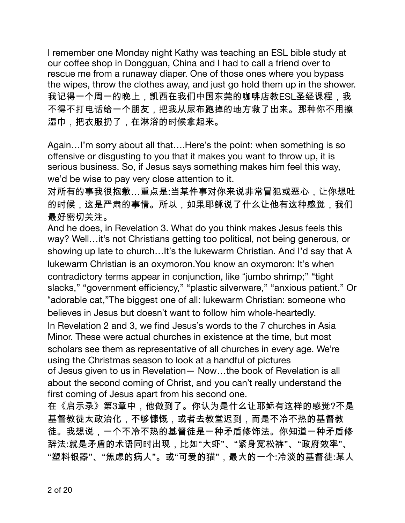I remember one Monday night Kathy was teaching an ESL bible study at our coffee shop in Dongguan, China and I had to call a friend over to rescue me from a runaway diaper. One of those ones where you bypass the wipes, throw the clothes away, and just go hold them up in the shower. 我记得一个周一的晚上,凯西在我们中国东莞的咖啡店教ESL圣经课程,我 不得不打电话给一个朋友,把我从尿布跑掉的地方救了出来。那种你不用擦 湿巾,把衣服扔了,在淋浴的时候拿起来。

Again...I'm sorry about all that....Here's the point: when something is so offensive or disgusting to you that it makes you want to throw up, it is serious business. So, if Jesus says something makes him feel this way, we'd be wise to pay very close attention to it.

对所有的事我很抱歉…重点是:当某件事对你来说非常冒犯或恶心,让你想吐 的时候,这是严肃的事情。所以,如果耶稣说了什么让他有这种感觉,我们 最好密切关注。

And he does, in Revelation 3. What do you think makes Jesus feels this way? Well...it's not Christians getting too political, not being generous, or showing up late to church... It's the lukewarm Christian. And I'd say that A lukewarm Christian is an oxymoron. You know an oxymoron: It's when contradictory terms appear in conjunction, like "jumbo shrimp;" "tight slacks," "government efficiency," "plastic silverware," "anxious patient." Or "adorable cat,"The biggest one of all: lukewarm Christian: someone who believes in Jesus but doesn't want to follow him whole-heartedly.

In Revelation 2 and 3, we find Jesus's words to the 7 churches in Asia Minor. These were actual churches in existence at the time, but most scholars see them as representative of all churches in every age. We're using the Christmas season to look at a handful of pictures

of Jesus given to us in Revelation - Now...the book of Revelation is all about the second coming of Christ, and you can't really understand the first coming of Jesus apart from his second one.

在《启示录》第3章中,他做到了。你认为是什么让耶稣有这样的感觉?不是 基督教徒太政治化,不够慷慨,或者去教堂迟到,而是不冷不热的基督教 徒。我想说,一个不冷不热的基督徒是一种矛盾修饰法。你知道一种矛盾修 辞法:就是矛盾的术语同时出现,比如"大虾"、"紧身宽松裤"、"政府效率"、 "塑料银器"、"焦虑的病人"。或"可爱的猫",最大的一个:冷淡的基督徒:某人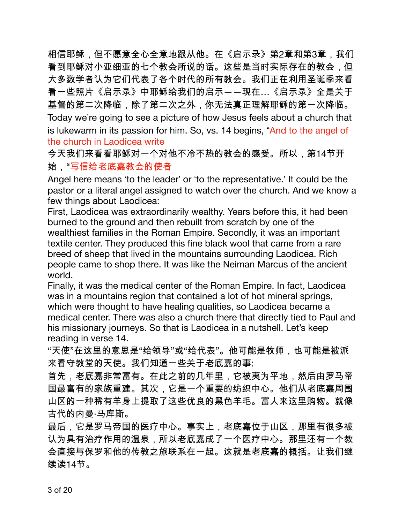相信耶稣,但不愿意全心全意地跟从他。在《启示录》第2章和第3章,我们 看到耶稣对小亚细亚的七个教会所说的话。这些是当时实际存在的教会,但 大多数学者认为它们代表了各个时代的所有教会。我们正在利用圣诞季来看 看一些照片《启示录》中耶稣给我们的启示――现在…《启示录》全是关于 基督的第二次降临,除了第二次之外,你无法真正理解耶稣的第一次降临。 Today we're going to see a picture of how Jesus feels about a church that is lukewarm in its passion for him. So, vs. 14 begins, "And to the angel of the church in Laodicea write

今天我们来看看耶稣对一个对他不冷不热的教会的感受。所以,第14节开 始,"写信给老底嘉教会的使者

Angel here means 'to the leader' or 'to the representative.' It could be the pastor or a literal angel assigned to watch over the church. And we know a few things about Laodicea:

First, Laodicea was extraordinarily wealthy. Years before this, it had been burned to the ground and then rebuilt from scratch by one of the wealthiest families in the Roman Empire. Secondly, it was an important textile center. They produced this fine black wool that came from a rare breed of sheep that lived in the mountains surrounding Laodicea. Rich people came to shop there. It was like the Neiman Marcus of the ancient world.

Finally, it was the medical center of the Roman Empire. In fact, Laodicea was in a mountains region that contained a lot of hot mineral springs, which were thought to have healing qualities, so Laodicea became a medical center. There was also a church there that directly tied to Paul and his missionary journeys. So that is Laodicea in a nutshell. Let's keep reading in verse 14.

"天使"在这里的意思是"给领导"或"给代表"。他可能是牧师,也可能是被派 来看守教堂的天使。我们知道一些关于老底嘉的事:

首先,老底嘉非常富有。在此之前的几年里,它被夷为平地,然后由罗马帝 国最富有的家族重建。其次,它是一个重要的纺织中心。他们从老底嘉周围 山区的一种稀有羊身上提取了这些优良的黑色羊毛。富人来这里购物。就像 古代的内曼·马库斯。

最后,它是罗马帝国的医疗中心。事实上,老底嘉位于山区,那里有很多被 认为具有治疗作用的温泉,所以老底嘉成了一个医疗中心。那里还有一个教 会直接与保罗和他的传教之旅联系在一起。这就是老底嘉的概括。让我们继 续读14节。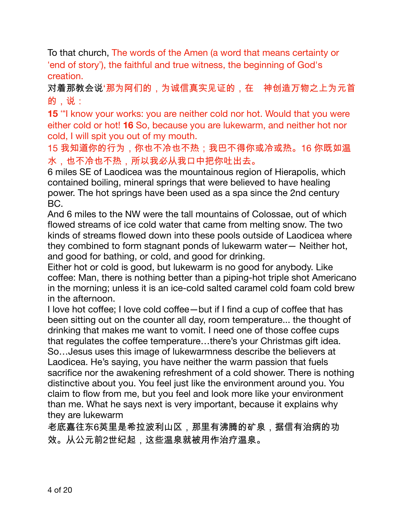To that church, The words of the Amen (a word that means certainty or 'end of story'), the faithful and true witness, the beginning of God's creation.

对着那教会说'那为阿们的,为诚信真实见证的,在 神创造万物之上为元首 的,说:

**15** "I know your works: you are neither cold nor hot. Would that you were either cold or hot! **16** So, because you are lukewarm, and neither hot nor cold, I will spit you out of my mouth.

15 我知道你的行为,你也不冷也不热;我巴不得你或冷或热。16 你既如温 水,也不冷也不热,所以我必从我口中把你吐出去。

6 miles SE of Laodicea was the mountainous region of Hierapolis, which contained boiling, mineral springs that were believed to have healing power. The hot springs have been used as a spa since the 2nd century BC.

And 6 miles to the NW were the tall mountains of Colossae, out of which flowed streams of ice cold water that came from melting snow. The two kinds of streams flowed down into these pools outside of Laodicea where they combined to form stagnant ponds of lukewarm water— Neither hot, and good for bathing, or cold, and good for drinking.

Either hot or cold is good, but lukewarm is no good for anybody. Like coffee: Man, there is nothing better than a piping-hot triple shot Americano in the morning; unless it is an ice-cold salted caramel cold foam cold brew in the afternoon.

I love hot coffee; I love cold coffee—but if I find a cup of coffee that has been sitting out on the counter all day, room temperature... the thought of drinking that makes me want to vomit. I need one of those coffee cups that regulates the coffee temperature…there's your Christmas gift idea. So…Jesus uses this image of lukewarmness describe the believers at Laodicea. He's saying, you have neither the warm passion that fuels sacrifice nor the awakening refreshment of a cold shower. There is nothing distinctive about you. You feel just like the environment around you. You claim to flow from me, but you feel and look more like your environment than me. What he says next is very important, because it explains why they are lukewarm

老底嘉往东6英里是希拉波利山区,那里有沸腾的矿泉,据信有治病的功 效。从公元前2世纪起,这些温泉就被用作治疗温泉。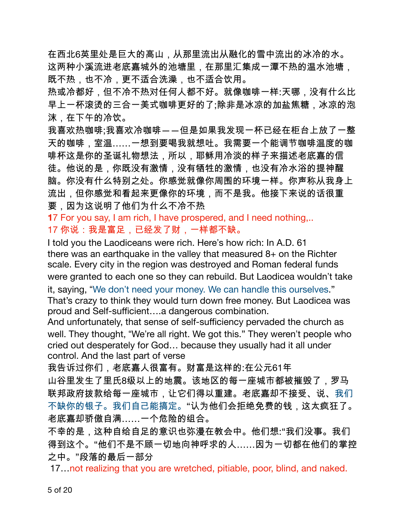在西北6英里处是巨大的高山,从那里流出从融化的雪中流出的冰冷的水。 这两种小溪流进老底嘉城外的池塘里,在那里汇集成一潭不热的温水池塘, 既不热,也不冷,更不适合洗澡,也不适合饮用。

热或冷都好,但不冷不热对任何人都不好。就像咖啡一样:天哪,没有什么比 早上一杯滚烫的三合一美式咖啡更好的了;除非是冰凉的加盐焦糖,冰凉的泡 沫,在下午的冷饮。

我喜欢热咖啡;我喜欢冷咖啡――但是如果我发现一杯已经在柜台上放了一整 天的咖啡,室温……一想到要喝我就想吐。我需要一个能调节咖啡温度的咖 啡杯这是你的圣诞礼物想法,所以,耶稣用冷淡的样子来描述老底嘉的信 徒。他说的是,你既没有激情,没有牺牲的激情,也没有冷水浴的提神醒 脑。你没有什么特别之处。你感觉就像你周围的环境一样。你声称从我身上 流出,但你感觉和看起来更像你的环境,而不是我。他接下来说的话很重 要,因为这说明了他们为什么不冷不热

17 For you say, I am rich, I have prospered, and I need nothing,.. 17 你说:我是富足,已经发了财,一样都不缺。

I told you the Laodiceans were rich. Here's how rich: In A.D. 61 there was an earthquake in the valley that measured  $8+$  on the Richter scale. Every city in the region was destroyed and Roman federal funds were granted to each one so they can rebuild. But Laodicea wouldn't take

it, saying, "We don't need your money. We can handle this ourselves." That's crazy to think they would turn down free money. But Laodicea was proud and Self-sufficient....a dangerous combination.

And unfortunately, that sense of self-sufficiency pervaded the church as well. They thought, "We're all right. We got this." They weren't people who cried out desperately for God... because they usually had it all under control. And the last part of verse

我告诉过你们,老底嘉人很富有。财富是这样的:在公元61年

山谷里发生了里氏8级以上的地震。该地区的每一座城市都被摧毁了,罗马 联邦政府拨款给每一座城市,让它们得以重建。老底嘉却不接受、说、我们 不缺你的银子。我们自己能搞定。"认为他们会拒绝免费的钱,这太疯狂了。 老底嘉却骄傲自满......一个危险的组合。

不幸的是,这种自给自足的意识也弥漫在教会中。他们想:"我们没事。我们 得到这个。"他们不是不顾一切地向神呼求的人……因为一切都在他们的掌控 之中。"段落的最后一部分

17. not realizing that you are wretched, pitiable, poor, blind, and naked.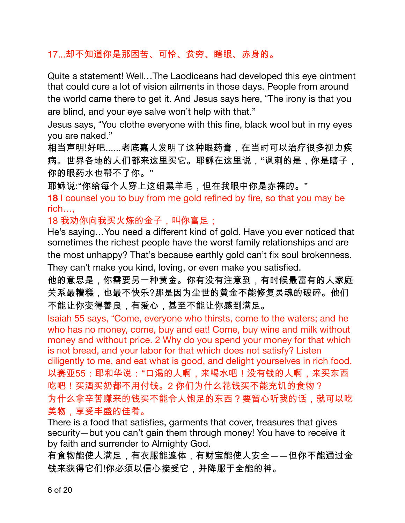## 17...却不知道你是那困苦、可怜、贫穷、瞎眼、赤身的。

Quite a statement! Well...The Laodiceans had developed this eye ointment that could cure a lot of vision ailments in those days. People from around the world came there to get it. And Jesus says here, "The irony is that you are blind, and your eye salve won't help with that."

Jesus says, "You clothe everyone with this fine, black wool but in my eyes vou are naked."

相当声明!好吧......老底嘉人发明了这种眼药膏,在当时可以治疗很多视力疾 病。世界各地的人们都来这里买它。耶稣在这里说,"讽刺的是,你是瞎子, 你的眼药水也帮不了你。"

耶稣说:"你给每个人穿上这细黑羊毛,但在我眼中你是赤裸的。"

18 I counsel you to buy from me gold refined by fire, so that you may be  $rich...$ 

18 我劝你向我买火炼的金子,叫你富足;

He's saying...You need a different kind of gold. Have you ever noticed that sometimes the richest people have the worst family relationships and are the most unhappy? That's because earthly gold can't fix soul brokenness. They can't make you kind, loving, or even make you satisfied.

他的意思是,你需要另一种黄金。你有没有注意到,有时候最富有的人家庭 关系最糟糕,也最不快乐?那是因为尘世的黄金不能修复灵魂的破碎。他们 不能让你变得善良,有爱心,甚至不能让你感到满足。

Isaiah 55 says, "Come, everyone who thirsts, come to the waters; and he who has no money, come, buy and eat! Come, buy wine and milk without money and without price. 2 Why do you spend your money for that which is not bread, and your labor for that which does not satisfy? Listen diligently to me, and eat what is good, and delight yourselves in rich food. 以赛亚55:耶和华说:"口渴的人啊,来喝水吧!没有钱的人啊,来买东西 吃吧!买酒买奶都不用付钱。2 你们为什么花钱买不能充饥的食物? 为什么拿辛苦赚来的钱买不能令人饱足的东西?要留心听我的话,就可以吃 美物,享受丰盛的佳肴。

There is a food that satisfies, garments that cover, treasures that gives security-but you can't gain them through money! You have to receive it by faith and surrender to Almighty God.

有食物能使人满足,有衣服能遮体,有财宝能使人安全――但你不能通过金 钱来获得它们!你必须以信心接受它,并降服于全能的神。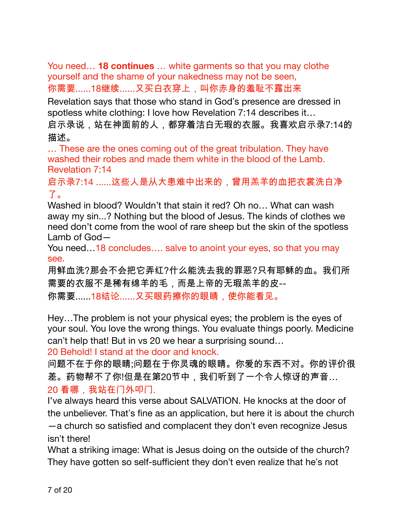You need... **18 continues** ... white garments so that you may clothe yourself and the shame of your nakedness may not be seen, 你需要......18继续......又买白衣穿上,叫你赤身的羞耻不露出来

Revelation says that those who stand in God's presence are dressed in spotless white clothing: I love how Revelation 7:14 describes it...

启示录说,站在神面前的人,都穿着洁白无瑕的衣服。我喜欢启示录7:14的 描述。

... These are the ones coming out of the great tribulation. They have washed their robes and made them white in the blood of the Lamb. **Revelation 7:14** 

启示录7:14 ......这些人是从大患难中出来的,曾用羔羊的血把衣裳洗白净 了。

Washed in blood? Wouldn't that stain it red? Oh no... What can wash away my sin...? Nothing but the blood of Jesus. The kinds of clothes we need don't come from the wool of rare sheep but the skin of the spotless Lamb of  $God -$ 

You need...18 concludes.... salve to anoint your eyes, so that you may see.

用鲜血洗?那会不会把它弄红?什么能洗去我的罪恶?只有耶稣的血。我们所 需要的衣服不是稀有绵羊的毛,而是上帝的无瑕羔羊的皮--

你需要......18结论......又买眼药擦你的眼睛,使你能看见。

Hey...The problem is not your physical eyes; the problem is the eyes of your soul. You love the wrong things. You evaluate things poorly. Medicine can't help that! But in vs 20 we hear a surprising sound...

20 Behold! I stand at the door and knock.

问题不在于你的眼睛;问题在于你灵魂的眼睛。你爱的东西不对。你的评价很 差。药物帮不了你!但是在第20节中,我们听到了一个令人惊讶的声音… 20 看哪, 我站在门外叩门.

I've always heard this verse about SALVATION. He knocks at the door of the unbeliever. That's fine as an application, but here it is about the church -a church so satisfied and complacent they don't even recognize Jesus isn't there!

What a striking image: What is Jesus doing on the outside of the church? They have gotten so self-sufficient they don't even realize that he's not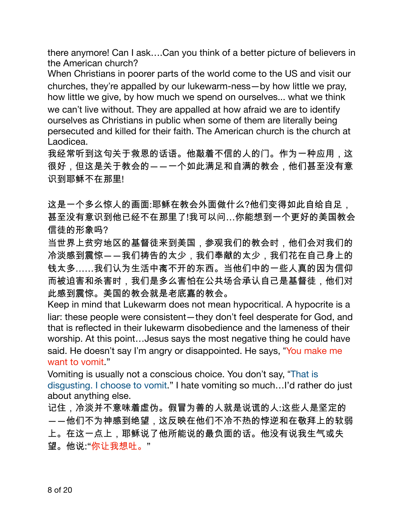there anymore! Can I ask....Can you think of a better picture of believers in the American church?

When Christians in poorer parts of the world come to the US and visit our churches, they're appalled by our lukewarm-ness-by how little we pray, how little we give, by how much we spend on ourselves... what we think we can't live without. They are appalled at how afraid we are to identify ourselves as Christians in public when some of them are literally being persecuted and killed for their faith. The American church is the church at Laodicea.

我经常听到这句关于救恩的话语。他敲着不信的人的门。作为一种应用,这 很好,但这是关于教会的――一个如此满足和自满的教会,他们甚至没有意 识到耶稣不在那里!

这是一个多么惊人的画面:耶稣在教会外面做什么?他们变得如此自给自足, 甚至没有意识到他已经不在那里了!我可以问…你能想到一个更好的美国教会 信徒的形象吗?

当世界上贫穷地区的基督徒来到美国,参观我们的教会时,他们会对我们的 冷淡感到震惊――我们祷告的太少,我们奉献的太少,我们花在自己身上的 钱太多……我们认为生活中离不开的东西。当他们中的一些人真的因为信仰 而被迫害和杀害时,我们是多么害怕在公共场合承认自己是基督徒,他们对 此感到震惊。美国的教会就是老底嘉的教会。

Keep in mind that Lukewarm does not mean hypocritical. A hypocrite is a liar: these people were consistent-they don't feel desperate for God, and that is reflected in their lukewarm disobedience and the lameness of their worship. At this point... Jesus says the most negative thing he could have said. He doesn't say I'm angry or disappointed. He says, "You make me want to yomit."

Vomiting is usually not a conscious choice. You don't say, "That is disgusting. I choose to vomit." I hate vomiting so much...I'd rather do just about anything else.

记住,冷淡并不意味着虚伪。假冒为善的人就是说谎的人:这些人是坚定的 ――他们不为神感到绝望,这反映在他们不冷不热的悖逆和在敬拜上的软弱 上。在这一点上,耶稣说了他所能说的最负面的话。他没有说我生气或失 望。他说:"你让我想吐。"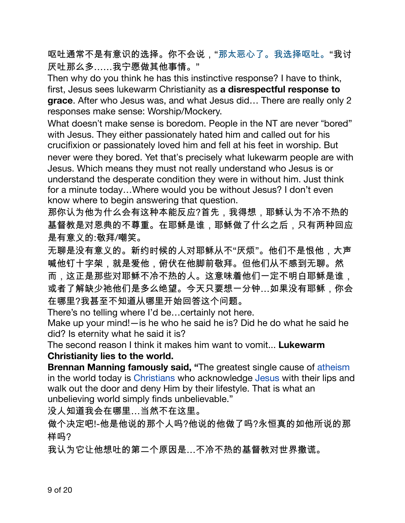呕吐通常不是有意识的选择。你不会说,"那太恶心了。我选择呕吐。"我讨 厌吐那么多……我宁愿做其他事情。"

Then why do you think he has this instinctive response? I have to think, first, Jesus sees lukewarm Christianity as a disrespectful response to grace. After who Jesus was, and what Jesus did... There are really only 2 responses make sense: Worship/Mockery.

What doesn't make sense is boredom. People in the NT are never "bored" with Jesus. They either passionately hated him and called out for his crucifixion or passionately loved him and fell at his feet in worship. But never were they bored. Yet that's precisely what lukewarm people are with Jesus. Which means they must not really understand who Jesus is or understand the desperate condition they were in without him. Just think for a minute today...Where would you be without Jesus? I don't even know where to begin answering that question.

那你认为他为什么会有这种本能反应?首先,我得想,耶稣认为不冷不热的 基督教是对恩典的不尊重。在耶稣是谁,耶稣做了什么之后,只有两种回应 是有意义的:敬拜/嘲笑。

无聊是没有意义的。新约时候的人对耶稣从不"厌烦"。他们不是恨他,大声 喊他钉十字架,就是爱他,俯伏在他脚前敬拜。但他们从不感到无聊。然 而,这正是那些对耶稣不冷不热的人。这意味着他们一定不明白耶稣是谁, 或者了解缺少祂他们是多么绝望。今天只要想一分钟…如果没有耶稣,你会 在哪里?我甚至不知道从哪里开始回答这个问题。

There's no telling where I'd be... certainly not here.

Make up your mind! — is he who he said he is? Did he do what he said he did? Is eternity what he said it is?

The second reason I think it makes him want to vomit... **Lukewarm** Christianity lies to the world.

Brennan Manning famously said, "The greatest single cause of atheism in the world today is Christians who acknowledge Jesus with their lips and walk out the door and deny Him by their lifestyle. That is what an unbelieving world simply finds unbelievable."

没人知道我会在哪里…当然不在这里。

做个决定吧!-他是他说的那个人吗?他说的他做了吗?永恒真的如他所说的那 样吗?

我认为它让他想吐的第二个原因是...不冷不热的基督教对世界撒谎。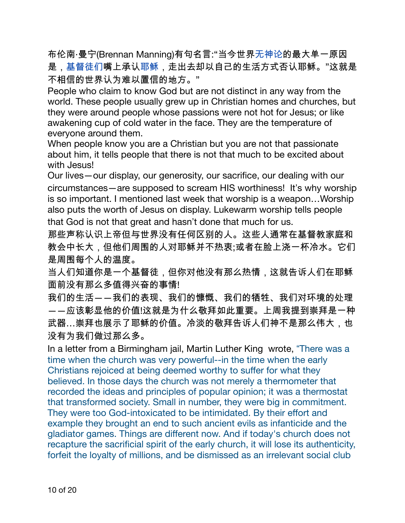布伦南·曼宁(Brennan Manning)有句名言:"当今世界无神论的最大单一原因 是,基督徒们嘴上承认耶稣,走出去却以自己的生活方式否认耶稣。"这就是 不相信的世界认为难以置信的地方。"

People who claim to know God but are not distinct in any way from the world. These people usually grew up in Christian homes and churches, but they were around people whose passions were not hot for Jesus; or like awakening cup of cold water in the face. They are the temperature of everyone around them.

When people know you are a Christian but you are not that passionate about him, it tells people that there is not that much to be excited about with Jesus!

Our lives - our display, our generosity, our sacrifice, our dealing with our circumstances—are supposed to scream HIS worthiness! It's why worship is so important. I mentioned last week that worship is a weapon...Worship also puts the worth of Jesus on display. Lukewarm worship tells people that God is not that great and hasn't done that much for us.

那些声称认识上帝但与世界没有任何区别的人。这些人通常在基督教家庭和 教会中长大,但他们周围的人对耶稣并不热衷;或者在脸上浇一杯冷水。它们 是周围每个人的温度。

当人们知道你是一个基督徒,但你对他没有那么热情,这就告诉人们在耶稣 面前没有那么多值得兴奋的事情!

我们的生活――我们的表现、我们的慷慨、我们的牺牲、我们对环境的处理 一一应该彰显他的价值!这就是为什么敬拜如此重要。上周我提到崇拜是一种 武器…崇拜也展示了耶稣的价值。冷淡的敬拜告诉人们神不是那么伟大,也 没有为我们做过那么多。

In a letter from a Birmingham jail, Martin Luther King wrote, "There was a time when the church was very powerful--in the time when the early Christians rejoiced at being deemed worthy to suffer for what they believed. In those days the church was not merely a thermometer that recorded the ideas and principles of popular opinion; it was a thermostat that transformed society. Small in number, they were big in commitment. They were too God-intoxicated to be intimidated. By their effort and example they brought an end to such ancient evils as infanticide and the gladiator games. Things are different now. And if today's church does not recapture the sacrificial spirit of the early church, it will lose its authenticity, forfeit the loyalty of millions, and be dismissed as an irrelevant social club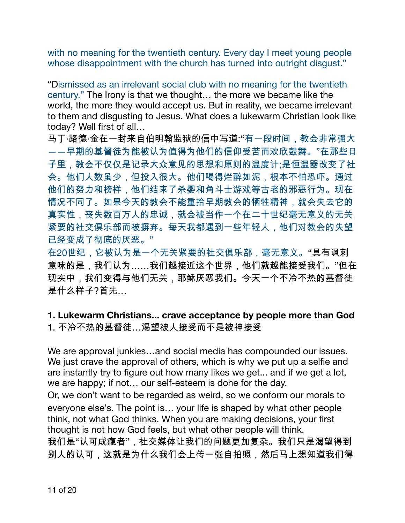with no meaning for the twentieth century. Every day I meet young people whose disappointment with the church has turned into outright disqust."

"Dismissed as an irrelevant social club with no meaning for the twentieth century." The Irony is that we thought... the more we became like the world, the more they would accept us. But in reality, we became irrelevant to them and disgusting to Jesus. What does a lukewarm Christian look like today? Well first of all...

马丁·路德·金在一封来自伯明翰监狱的信中写道:"有一段时间,教会非常强大 一一早期的基督徒为能被认为值得为他们的信仰受苦而欢欣鼓舞。"在那些日 子里,教会不仅仅是记录大众意见的思想和原则的温度计;是恒温器改变了社 会。他们人数虽少,但投入很大。他们喝得烂醉如泥,根本不怕恐吓。通过 他们的努力和榜样,他们结束了杀婴和角斗士游戏等古老的邪恶行为。现在 情况不同了。如果今天的教会不能重拾早期教会的牺牲精神,就会失去它的 真实性,丧失数百万人的忠诚,就会被当作一个在二十世纪毫无意义的无关 紧要的社交俱乐部而被摒弃。每天我都遇到一些年轻人,他们对教会的失望 已经变成了彻底的厌恶。"

在20世纪,它被认为是一个无关紧要的社交俱乐部,毫无意义。"具有讽刺 意味的是,我们认为……我们越接近这个世界,他们就越能接受我们。"但在 现实中,我们变得与他们无关,耶稣厌恶我们。今天一个不冷不热的基督徒 是什么样子?首先...

1. Lukewarm Christians... crave acceptance by people more than God 1. 不冷不热的基督徒…渴望被人接受而不是被神接受

We are approval junkies...and social media has compounded our issues. We just crave the approval of others, which is why we put up a selfie and are instantly try to figure out how many likes we get... and if we get a lot, we are happy; if not... our self-esteem is done for the day.

Or, we don't want to be regarded as weird, so we conform our morals to everyone else's. The point is... your life is shaped by what other people think, not what God thinks. When you are making decisions, your first thought is not how God feels, but what other people will think. 我们是"认可成瘾者",社交媒体让我们的问题更加复杂。我们只是渴望得到 别人的认可,这就是为什么我们会上传一张自拍照,然后马上想知道我们得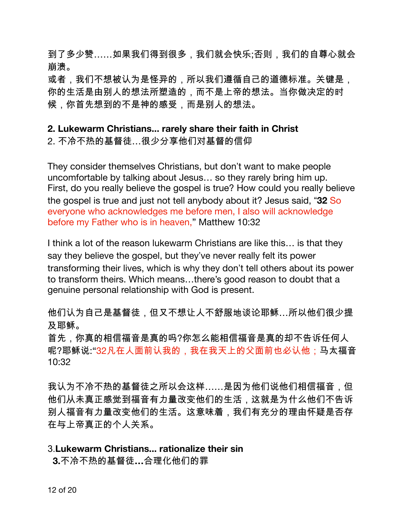到了多少赞……如果我们得到很多,我们就会快乐;否则,我们的自尊心就会 崩溃。

或者,我们不想被认为是怪异的,所以我们遵循自己的道德标准。关键是, 你的生活是由别人的想法所塑造的,而不是上帝的想法。当你做决定的时 候,你首先想到的不是神的感受,而是别人的想法。

### 2. Lukewarm Christians... rarely share their faith in Christ

2. 不冷不热的基督徒…很少分享他们对基督的信仰

They consider themselves Christians, but don't want to make people uncomfortable by talking about Jesus... so they rarely bring him up. First, do you really believe the gospel is true? How could you really believe the gospel is true and just not tell anybody about it? Jesus said, "32 So everyone who acknowledges me before men, I also will acknowledge before my Father who is in heaven," Matthew 10:32

I think a lot of the reason lukewarm Christians are like this... is that they say they believe the gospel, but they've never really felt its power transforming their lives, which is why they don't tell others about its power to transform theirs. Which means...there's good reason to doubt that a genuine personal relationship with God is present.

他们认为自己是基督徒,但又不想让人不舒服地谈论耶稣…所以他们很少提 及耶稣。

首先,你真的相信福音是真的吗?你怎么能相信福音是真的却不告诉任何人 呢?耶稣说:"32凡在人面前认我的,我在我天上的父面前也必认他;马太福音 10:32

我认为不冷不热的基督徒之所以会这样……是因为他们说他们相信福音,但 他们从未真正感觉到福音有力量改变他们的生活,这就是为什么他们不告诉 别人福音有力量改变他们的生活。这意味着,我们有充分的理由怀疑是否存 在与上帝真正的个人关系。

#### 3. Lukewarm Christians... rationalize their sin

3.不冷不热的基督徒...合理化他们的罪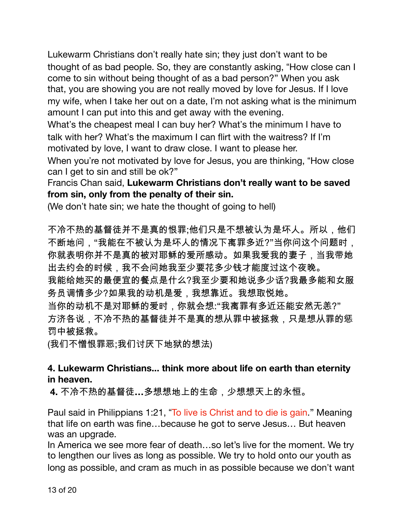Lukewarm Christians don't really hate sin; they just don't want to be thought of as bad people. So, they are constantly asking, "How close can I come to sin without being thought of as a bad person?" When you ask that, you are showing you are not really moved by love for Jesus. If I love my wife, when I take her out on a date, I'm not asking what is the minimum amount I can put into this and get away with the evening.

What's the cheapest meal I can buy her? What's the minimum I have to talk with her? What's the maximum I can flirt with the waitress? If I'm motivated by love, I want to draw close. I want to please her.

When you're not motivated by love for Jesus, you are thinking, "How close can I get to sin and still be ok?"

Francis Chan said, Lukewarm Christians don't really want to be saved from sin, only from the penalty of their sin.

(We don't hate sin; we hate the thought of going to hell)

不冷不热的基督徒并不是真的恨罪;他们只是不想被认为是坏人。所以,他们 不断地问,"我能在不被认为是坏人的情况下离罪多近?"当你问这个问题时, 你就表明你并不是真的被对耶稣的爱所感动。如果我爱我的妻子,当我带她 出去约会的时候,我不会问她我至少要花多少钱才能度过这个夜晚。

我能给她买的最便宜的餐点是什么?我至少要和她说多少话?我最多能和女服 务员调情多少?如果我的动机是爱,我想靠近。我想取悦她。

当你的动机不是对耶稣的爱时,你就会想:"我离罪有多近还能安然无恙?" 方济各说,不冷不热的基督徒并不是真的想从罪中被拯救,只是想从罪的惩 罚中被拯救。

(我们不憎恨罪恶;我们讨厌下地狱的想法)

# 4. Lukewarm Christians... think more about life on earth than eternity in heaven.

4. 不冷不热的基督徒…多想想地上的生命,少想想天上的永恒。

Paul said in Philippians 1:21, "To live is Christ and to die is gain." Meaning that life on earth was fine...because he got to serve Jesus... But heaven was an upgrade.

In America we see more fear of death...so let's live for the moment. We try to lengthen our lives as long as possible. We try to hold onto our youth as long as possible, and cram as much in as possible because we don't want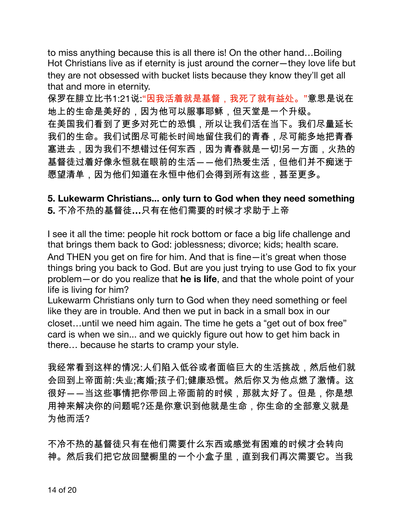to miss anything because this is all there is! On the other hand...Boiling Hot Christians live as if eternity is just around the corner-they love life but they are not obsessed with bucket lists because they know they'll get all that and more in eternity.

保罗在腓立比书1:21说:"因我活着就是基督,我死了就有益处。"意思是说在 地上的生命是美好的,因为他可以服事耶稣,但天堂是一个升级。 在美国我们看到了更多对死亡的恐惧,所以让我们活在当下。我们尽量延长 我们的生命。我们试图尽可能长时间地留住我们的青春,尽可能多地把青春 塞进去,因为我们不想错过任何东西,因为青春就是一切!另一方面,火热的 基督徒过着好像永恒就在眼前的生活――他们热爱生活,但他们并不痴迷于 愿望清单,因为他们知道在永恒中他们会得到所有这些,甚至更多。

### 5. Lukewarm Christians... only turn to God when they need something 5. 不冷不热的基督徒...只有在他们需要的时候才求助于上帝

I see it all the time: people hit rock bottom or face a big life challenge and that brings them back to God: joblessness; divorce; kids; health scare. And THEN you get on fire for him. And that is fine-it's great when those things bring you back to God. But are you just trying to use God to fix your problem-or do you realize that he is life, and that the whole point of your life is living for him?

Lukewarm Christians only turn to God when they need something or feel like they are in trouble. And then we put in back in a small box in our closet...until we need him again. The time he gets a "get out of box free" card is when we sin... and we quickly figure out how to get him back in there... because he starts to cramp your style.

我经常看到这样的情况:人们陷入低谷或者面临巨大的生活挑战,然后他们就 会回到上帝面前:失业;离婚;孩子们;健康恐慌。然后你又为他点燃了激情。这 很好――当这些事情把你带回上帝面前的时候,那就太好了。但是,你是想 用神来解决你的问题呢?还是你意识到他就是生命,你生命的全部意义就是 为他而活?

不冷不热的基督徒只有在他们需要什么东西或感觉有困难的时候才会转向 神。然后我们把它放回壁橱里的一个小盒子里,直到我们再次需要它。当我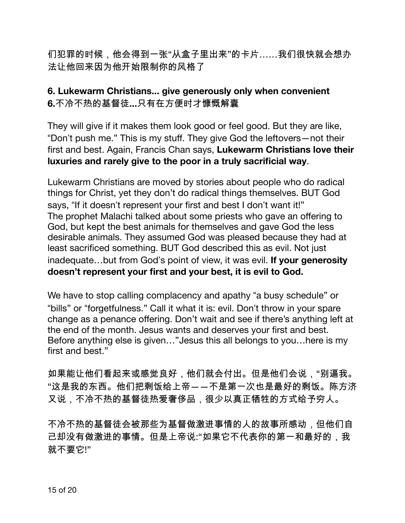们犯罪的时候,他会得到一张"从盒子里出来"的卡片……我们很快就会想办 法让他回来因为他开始限制你的风格了

### 6. Lukewarm Christians... give generously only when convenient 6.不冷不热的基督徒...只有在方便时才慷慨解囊

They will give if it makes them look good or feel good. But they are like, "Don't push me." This is my stuff. They give God the leftovers — not their first and best. Again, Francis Chan says, Lukewarm Christians love their luxuries and rarely give to the poor in a truly sacrificial way.

Lukewarm Christians are moved by stories about people who do radical things for Christ, yet they don't do radical things themselves. BUT God says, "If it doesn't represent your first and best I don't want it!" The prophet Malachi talked about some priests who gave an offering to God, but kept the best animals for themselves and gave God the less desirable animals. They assumed God was pleased because they had at least sacrificed something. BUT God described this as evil. Not just inadequate...but from God's point of view, it was evil. If your generosity doesn't represent your first and your best, it is evil to God.

We have to stop calling complacency and apathy "a busy schedule" or "bills" or "forgetfulness." Call it what it is: evil. Don't throw in your spare change as a penance offering. Don't wait and see if there's anything left at the end of the month. Jesus wants and deserves your first and best. Before anything else is given..."Jesus this all belongs to you...here is my first and hest."

如果能让他们看起来或感觉良好,他们就会付出。但是他们会说,"别逼我。 "这是我的东西。他们把剩饭给上帝――不是第一次也是最好的剩饭。陈方济 又说,不冷不热的基督徒热爱奢侈品,很少以真正牺牲的方式给予穷人。

不冷不热的基督徒会被那些为基督做激进事情的人的故事所感动,但他们自 己却没有做激进的事情。但是上帝说:"如果它不代表你的第一和最好的,我 就不要它!"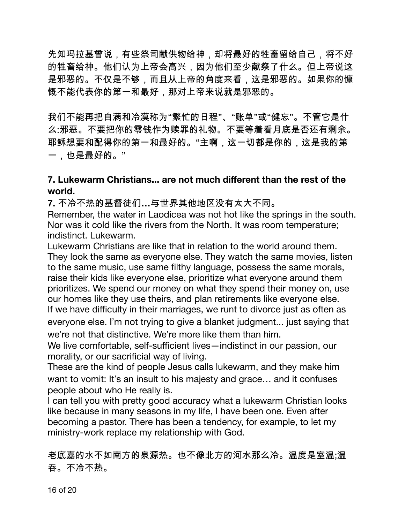先知玛拉基曾说,有些祭司献供物给神,却将最好的牲畜留给自己,将不好 的牲畜给神。他们认为上帝会高兴,因为他们至少献祭了什么。但上帝说这 是邪恶的。不仅是不够,而且从上帝的角度来看,这是邪恶的。如果你的慷 慨不能代表你的第一和最好,那对上帝来说就是邪恶的。

我们不能再把自满和冷漠称为"繁忙的日程"、"账单"或"健忘"。不管它是什 么:邪恶。不要把你的零钱作为赎罪的礼物。不要等着看月底是否还有剩余。 耶稣想要和配得你的第一和最好的。"主啊,这一切都是你的,这是我的第 一,也是最好的。"

### 7. Lukewarm Christians... are not much different than the rest of the world.

7. 不冷不热的基督徒们...与世界其他地区没有太大不同。

Remember, the water in Laodicea was not hot like the springs in the south. Nor was it cold like the rivers from the North. It was room temperature; indistinct. Lukewarm.

Lukewarm Christians are like that in relation to the world around them. They look the same as everyone else. They watch the same movies, listen to the same music, use same filthy language, possess the same morals, raise their kids like everyone else, prioritize what everyone around them prioritizes. We spend our money on what they spend their money on, use our homes like they use theirs, and plan retirements like everyone else. If we have difficulty in their marriages, we runt to divorce just as often as everyone else. I'm not trying to give a blanket judgment... just saying that we're not that distinctive. We're more like them than him.

We live comfortable, self-sufficient lives-indistinct in our passion, our morality, or our sacrificial way of living.

These are the kind of people Jesus calls lukewarm, and they make him want to vomit: It's an insult to his majesty and grace... and it confuses people about who He really is.

I can tell you with pretty good accuracy what a lukewarm Christian looks like because in many seasons in my life, I have been one. Even after becoming a pastor. There has been a tendency, for example, to let my ministry-work replace my relationship with God.

老底嘉的水不如南方的泉源热。也不像北方的河水那么冷。温度是室温;温 吞。不冷不热。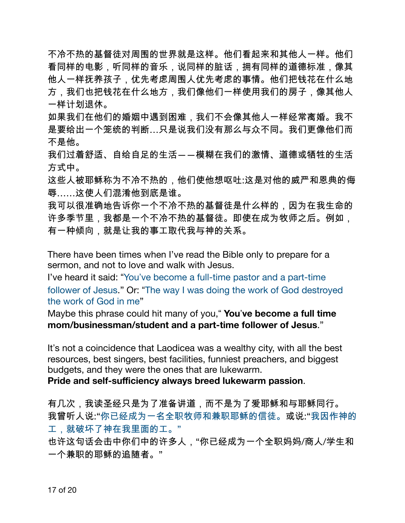不冷不热的基督徒对周围的世界就是这样。他们看起来和其他人一样。他们 看同样的电影,听同样的音乐,说同样的脏话,拥有同样的道德标准,像其 他人一样抚养孩子,优先考虑周围人优先考虑的事情。他们把钱花在什么地 方,我们也把钱花在什么地方,我们像他们一样使用我们的房子,像其他人 一样计划退休。

如果我们在他们的婚姻中遇到困难,我们不会像其他人一样经常离婚。我不 是要给出一个笼统的判断…只是说我们没有那么与众不同。我们更像他们而 不是他。

我们过着舒适、自给自足的生活——模糊在我们的激情、道德或牺牲的生活 方式中。

这些人被耶稣称为不冷不热的,他们使他想呕吐:这是对他的威严和恩典的侮 辱……这使人们混淆他到底是谁。

我可以很准确地告诉你一个不冷不热的基督徒是什么样的,因为在我生命的 许多季节里,我都是一个不冷不热的基督徒。即使在成为牧师之后。例如, 有一种倾向,就是让我的事工取代我与神的关系。

There have been times when I've read the Bible only to prepare for a sermon, and not to love and walk with Jesus.

I've heard it said: "You've become a full-time pastor and a part-time follower of Jesus." Or: "The way I was doing the work of God destroyed the work of God in me"

Maybe this phrase could hit many of you," You've become a full time mom/businessman/student and a part-time follower of Jesus."

It's not a coincidence that Laodicea was a wealthy city, with all the best resources, best singers, best facilities, funniest preachers, and biggest budgets, and they were the ones that are lukewarm.

Pride and self-sufficiency always breed lukewarm passion.

有几次,我读圣经只是为了准备讲道,而不是为了爱耶稣和与耶稣同行。 我曾听人说:"你已经成为一名全职牧师和兼职耶稣的信徒。或说:"我因作神的 工,就破坏了神在我里面的工。"

也许这句话会击中你们中的许多人,"你已经成为一个全职妈妈/商人/学生和 一个兼职的耶稣的追随者。"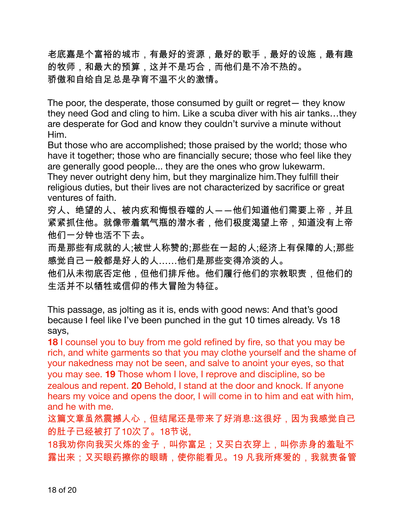老底嘉是个富裕的城市,有最好的资源,最好的歌手,最好的设施,最有趣 的牧师,和最大的预算,这并不是巧合,而他们是不冷不热的。 骄傲和自给自足总是孕育不温不火的激情。

The poor, the desperate, those consumed by guilt or regret - they know they need God and cling to him. Like a scuba diver with his air tanks...they are desperate for God and know they couldn't survive a minute without Him.

But those who are accomplished; those praised by the world; those who have it together; those who are financially secure; those who feel like they are generally good people... they are the ones who grow lukewarm. They never outright deny him, but they marginalize him. They fulfill their religious duties, but their lives are not characterized by sacrifice or great ventures of faith.

穷人、绝望的人、被内疚和悔恨吞噬的人――他们知道他们需要上帝,并且 紧紧抓住他。就像带着氧气瓶的潜水者,他们极度渴望上帝,知道没有上帝 他们一分钟也活不下去。

而是那些有成就的人;被世人称赞的;那些在一起的人;经济上有保障的人;那些 感觉自己一般都是好人的人……他们是那些变得冷淡的人。

他们从未彻底否定他,但他们排斥他。他们履行他们的宗教职责,但他们的 生活并不以牺牲或信仰的伟大冒险为特征。

This passage, as jolting as it is, ends with good news: And that's good because I feel like I've been punched in the gut 10 times already. Vs 18 says.

18 I counsel you to buy from me gold refined by fire, so that you may be rich, and white garments so that you may clothe yourself and the shame of your nakedness may not be seen, and salve to anoint your eyes, so that you may see. 19 Those whom I love, I reprove and discipline, so be zealous and repent. 20 Behold, I stand at the door and knock. If anyone hears my voice and opens the door. I will come in to him and eat with him. and he with me.

这篇文章虽然震撼人心,但结尾还是带来了好消息:这很好,因为我感觉自己 的肚子已经被打了10次了。18节说..

18我劝你向我买火炼的金子,叫你富足;又买白衣穿上,叫你赤身的羞耻不 露出来;又买眼药擦你的眼睛,使你能看见。19 凡我所疼爱的,我就责备管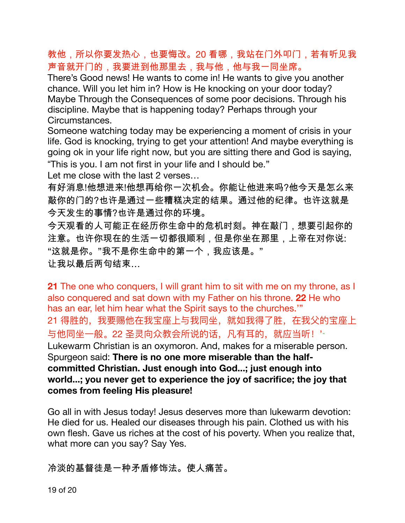教他,所以你要发热心,也要悔改。20 看哪,我站在门外叩门,若有听见我 声音就开门的,我要进到他那里去,我与他,他与我一同坐席。

There's Good news! He wants to come in! He wants to give you another chance. Will you let him in? How is He knocking on your door today? Maybe Through the Consequences of some poor decisions. Through his discipline. Maybe that is happening today? Perhaps through your Circumstances.

Someone watching today may be experiencing a moment of crisis in your life. God is knocking, trying to get your attention! And maybe everything is going ok in your life right now, but you are sitting there and God is saying, "This is you. I am not first in your life and I should be."

Let me close with the last 2 verses...

有好消息!他想进来!他想再给你一次机会。你能让他进来吗?他今天是怎么来 敲你的门的?也许是通过一些糟糕决定的结果。通过他的纪律。也许这就是 今天发生的事情?也许是通过你的环境。

今天观看的人可能正在经历你生命中的危机时刻。神在敲门,想要引起你的 注意。也许你现在的生活一切都很顺利,但是你坐在那里,上帝在对你说: "这就是你。"我不是你生命中的第一个,我应该是。" 让我以最后两句结束…

21 The one who conquers, I will grant him to sit with me on my throne, as I also conquered and sat down with my Father on his throne. 22 He who has an ear, let him hear what the Spirit says to the churches." 21 得胜的, 我要赐他在我宝座上与我同坐, 就如我得了胜, 在我父的宝座上 与他同坐一般。22 圣灵向众教会所说的话, 凡有耳的, 就应当听! ' Lukewarm Christian is an oxymoron. And, makes for a miserable person. Spurgeon said: There is no one more miserable than the halfcommitted Christian. Just enough into God...; just enough into world...; you never get to experience the joy of sacrifice; the joy that comes from feeling His pleasure!

Go all in with Jesus today! Jesus deserves more than lukewarm devotion: He died for us. Healed our diseases through his pain. Clothed us with his own flesh. Gave us riches at the cost of his poverty. When you realize that, what more can you say? Say Yes.

冷淡的基督徒是一种矛盾修饰法。使人痛苦。